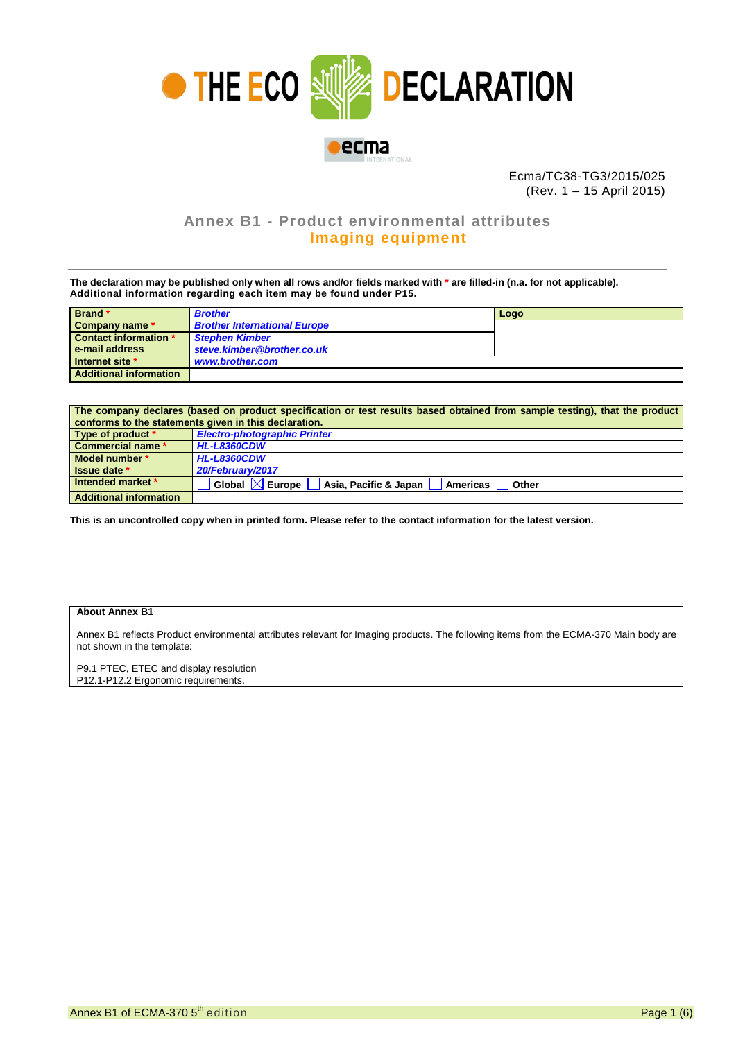

Ecma/TC38-TG3/2015/025 (Rev. 1 – 15 April 2015)

## **Annex B1 - Product environmental attributes Imaging equipment**

**The declaration may be published only when all rows and/or fields marked with \* are filled-in (n.a. for not applicable). Additional information regarding each item may be found under P15.**

| Brand *                       | <b>Brother</b>                      | Logo |
|-------------------------------|-------------------------------------|------|
| Company name *                | <b>Brother International Europe</b> |      |
| <b>Contact information *</b>  | <b>Stephen Kimber</b>               |      |
| e-mail address                | steve.kimber@brother.co.uk          |      |
| Internet site *               | www.brother.com                     |      |
| <b>Additional information</b> |                                     |      |

| The company declares (based on product specification or test results based obtained from sample testing), that the product |                                                                                         |  |  |  |  |
|----------------------------------------------------------------------------------------------------------------------------|-----------------------------------------------------------------------------------------|--|--|--|--|
| conforms to the statements given in this declaration.                                                                      |                                                                                         |  |  |  |  |
| Type of product *                                                                                                          | <b>Electro-photographic Printer</b>                                                     |  |  |  |  |
| <b>Commercial name *</b>                                                                                                   | <b>HL-L8360CDW</b>                                                                      |  |  |  |  |
| Model number *                                                                                                             | <b>HL-L8360CDW</b>                                                                      |  |  |  |  |
| Issue date *                                                                                                               | 20/February/2017                                                                        |  |  |  |  |
| Intended market *                                                                                                          | Global $\boxtimes$ Europe $\blacksquare$<br>Asia, Pacific & Japan   Americas  <br>Other |  |  |  |  |
| <b>Additional information</b>                                                                                              |                                                                                         |  |  |  |  |

**This is an uncontrolled copy when in printed form. Please refer to the contact information for the latest version.**

## **About Annex B1**

Annex B1 reflects Product environmental attributes relevant for Imaging products. The following items from the ECMA-370 Main body are not shown in the template:

P9.1 PTEC, ETEC and display resolution P12.1-P12.2 Ergonomic requirements.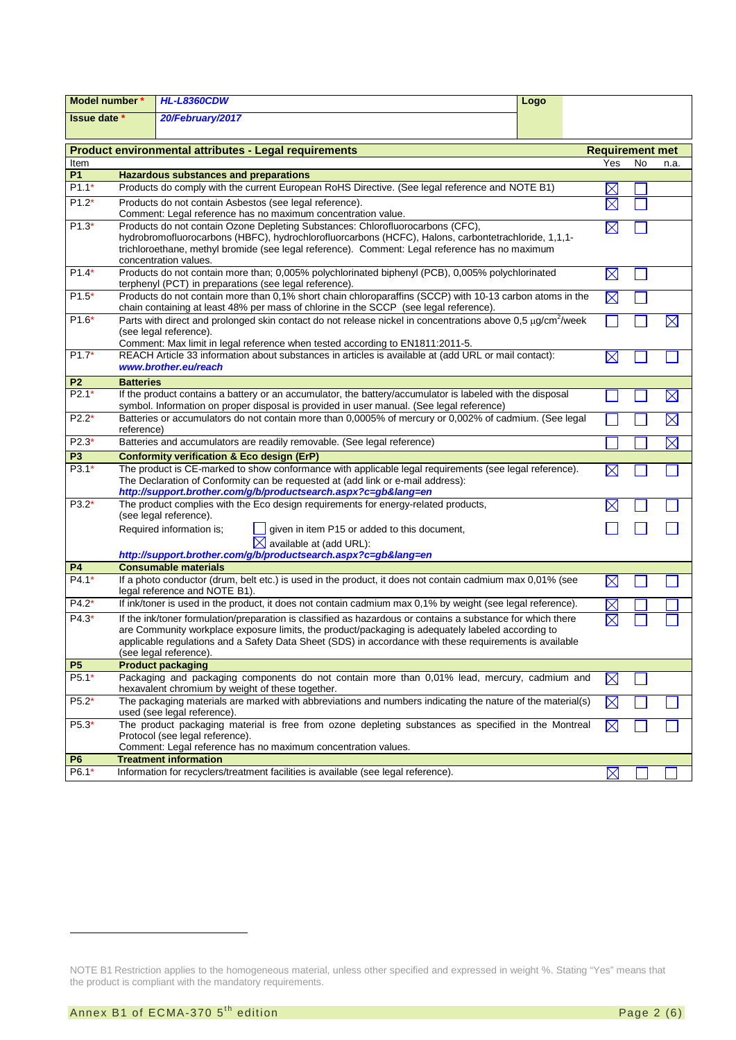| Model number *      |                                                                                                                                                                                                                                                                                                                  | <b>HL-L8360CDW</b>                                                                                                                                                                                    | Logo |                        |    |             |
|---------------------|------------------------------------------------------------------------------------------------------------------------------------------------------------------------------------------------------------------------------------------------------------------------------------------------------------------|-------------------------------------------------------------------------------------------------------------------------------------------------------------------------------------------------------|------|------------------------|----|-------------|
| <b>Issue date</b> * |                                                                                                                                                                                                                                                                                                                  | 20/February/2017                                                                                                                                                                                      |      |                        |    |             |
|                     |                                                                                                                                                                                                                                                                                                                  | <b>Product environmental attributes - Legal requirements</b>                                                                                                                                          |      | <b>Requirement met</b> |    |             |
| Item                |                                                                                                                                                                                                                                                                                                                  |                                                                                                                                                                                                       |      | Yes                    | No | n.a.        |
| <b>P1</b>           |                                                                                                                                                                                                                                                                                                                  | <b>Hazardous substances and preparations</b>                                                                                                                                                          |      |                        |    |             |
| $P1.1*$             |                                                                                                                                                                                                                                                                                                                  | Products do comply with the current European RoHS Directive. (See legal reference and NOTE B1)                                                                                                        |      |                        |    |             |
| $P1.2*$             |                                                                                                                                                                                                                                                                                                                  | Products do not contain Asbestos (see legal reference).                                                                                                                                               |      | X                      |    |             |
| $P1.3*$             | Comment: Legal reference has no maximum concentration value.                                                                                                                                                                                                                                                     |                                                                                                                                                                                                       |      |                        |    |             |
|                     | Products do not contain Ozone Depleting Substances: Chlorofluorocarbons (CFC),<br>hydrobromofluorocarbons (HBFC), hydrochlorofluorcarbons (HCFC), Halons, carbontetrachloride, 1,1,1-<br>trichloroethane, methyl bromide (see legal reference). Comment: Legal reference has no maximum<br>concentration values. |                                                                                                                                                                                                       |      |                        |    |             |
| $P1.4*$             |                                                                                                                                                                                                                                                                                                                  | Products do not contain more than; 0,005% polychlorinated biphenyl (PCB), 0,005% polychlorinated<br>terphenyl (PCT) in preparations (see legal reference).                                            |      | $\boxtimes$            |    |             |
| $P1.5*$             |                                                                                                                                                                                                                                                                                                                  | Products do not contain more than 0,1% short chain chloroparaffins (SCCP) with 10-13 carbon atoms in the<br>chain containing at least 48% per mass of chlorine in the SCCP (see legal reference).     |      | $\boxtimes$            |    |             |
| $P1.6*$             |                                                                                                                                                                                                                                                                                                                  | Parts with direct and prolonged skin contact do not release nickel in concentrations above 0,5 µg/cm <sup>2</sup> /week                                                                               |      |                        |    | $\boxtimes$ |
|                     |                                                                                                                                                                                                                                                                                                                  | (see legal reference).                                                                                                                                                                                |      |                        |    |             |
|                     |                                                                                                                                                                                                                                                                                                                  | Comment: Max limit in legal reference when tested according to EN1811:2011-5.                                                                                                                         |      |                        |    |             |
| $P1.7*$             |                                                                                                                                                                                                                                                                                                                  | REACH Article 33 information about substances in articles is available at (add URL or mail contact):<br>www.brother.eu/reach                                                                          |      | X                      |    |             |
| P <sub>2</sub>      | <b>Batteries</b>                                                                                                                                                                                                                                                                                                 |                                                                                                                                                                                                       |      |                        |    |             |
| $P2.1*$             |                                                                                                                                                                                                                                                                                                                  | If the product contains a battery or an accumulator, the battery/accumulator is labeled with the disposal<br>symbol. Information on proper disposal is provided in user manual. (See legal reference) |      |                        |    | $\boxtimes$ |
| $P2.2*$             |                                                                                                                                                                                                                                                                                                                  | Batteries or accumulators do not contain more than 0,0005% of mercury or 0,002% of cadmium. (See legal                                                                                                |      |                        |    | $\boxtimes$ |
|                     | reference)                                                                                                                                                                                                                                                                                                       |                                                                                                                                                                                                       |      |                        |    |             |
| $P2.3*$             |                                                                                                                                                                                                                                                                                                                  | Batteries and accumulators are readily removable. (See legal reference)                                                                                                                               |      |                        |    | $\boxtimes$ |
| P3                  |                                                                                                                                                                                                                                                                                                                  | <b>Conformity verification &amp; Eco design (ErP)</b>                                                                                                                                                 |      |                        |    |             |
| $P3.1*$             |                                                                                                                                                                                                                                                                                                                  | The product is CE-marked to show conformance with applicable legal requirements (see legal reference).                                                                                                |      |                        |    |             |
|                     |                                                                                                                                                                                                                                                                                                                  | The Declaration of Conformity can be requested at (add link or e-mail address):                                                                                                                       |      |                        |    |             |
|                     |                                                                                                                                                                                                                                                                                                                  | http://support.brother.com/g/b/productsearch.aspx?c=gb⟨=en                                                                                                                                            |      |                        |    |             |
| $P3.2*$             |                                                                                                                                                                                                                                                                                                                  | The product complies with the Eco design requirements for energy-related products,<br>(see legal reference).                                                                                          |      |                        |    |             |
|                     |                                                                                                                                                                                                                                                                                                                  | given in item P15 or added to this document,<br>Required information is;                                                                                                                              |      |                        |    |             |
|                     |                                                                                                                                                                                                                                                                                                                  | $\boxtimes$ available at (add URL):                                                                                                                                                                   |      |                        |    |             |
|                     |                                                                                                                                                                                                                                                                                                                  | http://support.brother.com/g/b/productsearch.aspx?c=gb⟨=en                                                                                                                                            |      |                        |    |             |
| <b>P4</b>           |                                                                                                                                                                                                                                                                                                                  | <b>Consumable materials</b>                                                                                                                                                                           |      |                        |    |             |
| $P4.1*$             |                                                                                                                                                                                                                                                                                                                  | If a photo conductor (drum, belt etc.) is used in the product, it does not contain cadmium max 0,01% (see<br>legal reference and NOTE B1).                                                            |      | ⋉                      |    |             |
| $P4.2*$             |                                                                                                                                                                                                                                                                                                                  | If ink/toner is used in the product, it does not contain cadmium max 0,1% by weight (see legal reference).                                                                                            |      |                        |    |             |
| $P4.3*$             |                                                                                                                                                                                                                                                                                                                  | If the ink/toner formulation/preparation is classified as hazardous or contains a substance for which there                                                                                           |      |                        |    |             |
|                     |                                                                                                                                                                                                                                                                                                                  | are Community workplace exposure limits, the product/packaging is adequately labeled according to                                                                                                     |      |                        |    |             |
|                     |                                                                                                                                                                                                                                                                                                                  | applicable regulations and a Safety Data Sheet (SDS) in accordance with these requirements is available                                                                                               |      |                        |    |             |
|                     |                                                                                                                                                                                                                                                                                                                  | (see legal reference).                                                                                                                                                                                |      |                        |    |             |
| <b>P5</b>           |                                                                                                                                                                                                                                                                                                                  | <b>Product packaging</b>                                                                                                                                                                              |      |                        |    |             |
| P5.1*               |                                                                                                                                                                                                                                                                                                                  | Packaging and packaging components do not contain more than 0,01% lead, mercury, cadmium and<br>hexavalent chromium by weight of these together.                                                      |      | $\boxtimes$            |    |             |
| $P5.2*$             |                                                                                                                                                                                                                                                                                                                  | The packaging materials are marked with abbreviations and numbers indicating the nature of the material(s)<br>used (see legal reference).                                                             |      | $\boxtimes$            |    |             |
| P5.3*               |                                                                                                                                                                                                                                                                                                                  | The product packaging material is free from ozone depleting substances as specified in the Montreal                                                                                                   |      | $\boxtimes$            |    |             |
|                     |                                                                                                                                                                                                                                                                                                                  | Protocol (see legal reference).                                                                                                                                                                       |      |                        |    |             |
|                     |                                                                                                                                                                                                                                                                                                                  | Comment: Legal reference has no maximum concentration values.                                                                                                                                         |      |                        |    |             |
| P <sub>6</sub>      |                                                                                                                                                                                                                                                                                                                  | <b>Treatment information</b>                                                                                                                                                                          |      |                        |    |             |
| $P6.1*$             |                                                                                                                                                                                                                                                                                                                  | Information for recyclers/treatment facilities is available (see legal reference).                                                                                                                    |      | $\boxtimes$            |    |             |

<span id="page-1-1"></span><span id="page-1-0"></span>NOTE B1 Restriction applies to the homogeneous material, unless other specified and expressed in weight %. Stating "Yes" means that the product is compliant with the mandatory requirements.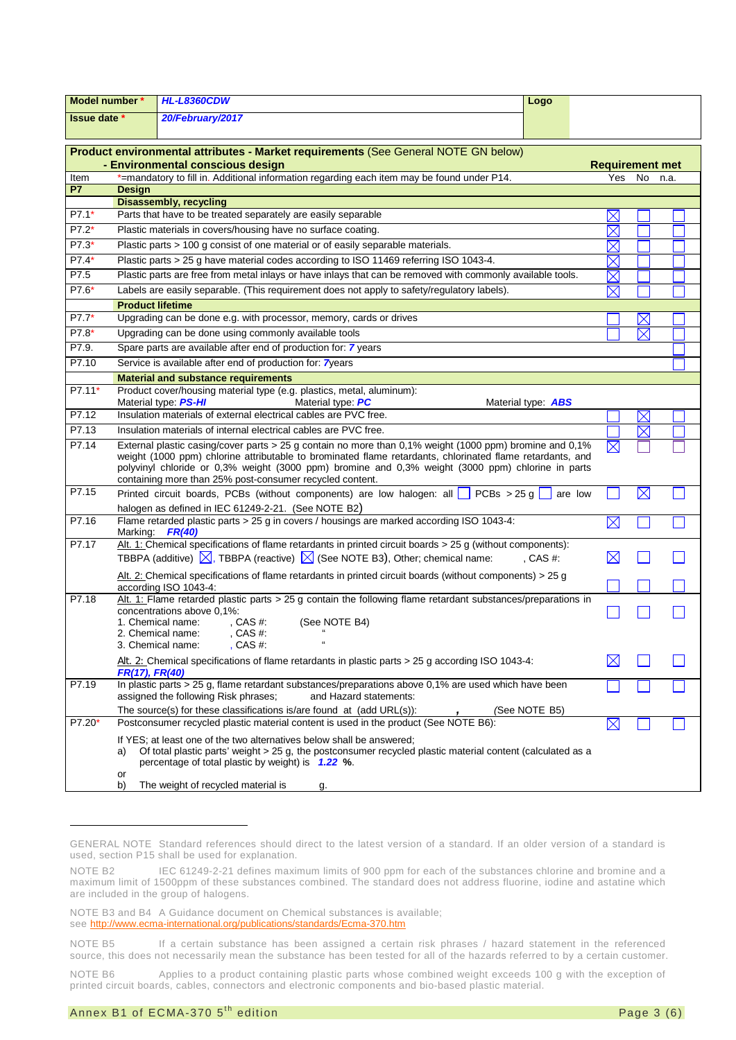| Model number *      |                                                                                                                            | <b>HL-L8360CDW</b>                                                                                                                                                                                                                                                                                                                                                                    | Logo                      |                        |             |      |
|---------------------|----------------------------------------------------------------------------------------------------------------------------|---------------------------------------------------------------------------------------------------------------------------------------------------------------------------------------------------------------------------------------------------------------------------------------------------------------------------------------------------------------------------------------|---------------------------|------------------------|-------------|------|
| <b>Issue date</b> * |                                                                                                                            | 20/February/2017                                                                                                                                                                                                                                                                                                                                                                      |                           |                        |             |      |
|                     |                                                                                                                            |                                                                                                                                                                                                                                                                                                                                                                                       |                           |                        |             |      |
|                     |                                                                                                                            | Product environmental attributes - Market requirements (See General NOTE GN below)<br>- Environmental conscious design                                                                                                                                                                                                                                                                |                           | <b>Requirement met</b> |             |      |
| Item                |                                                                                                                            | *=mandatory to fill in. Additional information regarding each item may be found under P14.                                                                                                                                                                                                                                                                                            |                           | Yes                    | No          | n.a. |
| <b>P7</b>           | <b>Design</b>                                                                                                              |                                                                                                                                                                                                                                                                                                                                                                                       |                           |                        |             |      |
|                     |                                                                                                                            | <b>Disassembly, recycling</b>                                                                                                                                                                                                                                                                                                                                                         |                           |                        |             |      |
| $P7.1*$             | Parts that have to be treated separately are easily separable                                                              | $\times$                                                                                                                                                                                                                                                                                                                                                                              |                           |                        |             |      |
| $P7.2*$             | Plastic materials in covers/housing have no surface coating.                                                               |                                                                                                                                                                                                                                                                                                                                                                                       |                           |                        |             |      |
| $P7.3*$             |                                                                                                                            | Plastic parts > 100 g consist of one material or of easily separable materials.                                                                                                                                                                                                                                                                                                       |                           | $\boxtimes$            |             |      |
| P7.4*               |                                                                                                                            | Plastic parts > 25 g have material codes according to ISO 11469 referring ISO 1043-4.                                                                                                                                                                                                                                                                                                 |                           | $\boxtimes$            |             |      |
| P7.5                |                                                                                                                            | Plastic parts are free from metal inlays or have inlays that can be removed with commonly available tools.                                                                                                                                                                                                                                                                            |                           | $\times$               |             |      |
| P7.6*               |                                                                                                                            | Labels are easily separable. (This requirement does not apply to safety/regulatory labels).                                                                                                                                                                                                                                                                                           |                           | $\boxtimes$            |             |      |
|                     | <b>Product lifetime</b>                                                                                                    |                                                                                                                                                                                                                                                                                                                                                                                       |                           |                        |             |      |
| P7.7*               |                                                                                                                            | Upgrading can be done e.g. with processor, memory, cards or drives                                                                                                                                                                                                                                                                                                                    |                           |                        |             |      |
| P7.8*               |                                                                                                                            | Upgrading can be done using commonly available tools                                                                                                                                                                                                                                                                                                                                  |                           |                        | $\boxtimes$ |      |
| P7.9.               |                                                                                                                            | Spare parts are available after end of production for: 7 years                                                                                                                                                                                                                                                                                                                        |                           |                        |             |      |
| P7.10               |                                                                                                                            | Service is available after end of production for: 7years                                                                                                                                                                                                                                                                                                                              |                           |                        |             |      |
|                     |                                                                                                                            | <b>Material and substance requirements</b>                                                                                                                                                                                                                                                                                                                                            |                           |                        |             |      |
| P7.11*              |                                                                                                                            | Product cover/housing material type (e.g. plastics, metal, aluminum):                                                                                                                                                                                                                                                                                                                 |                           |                        |             |      |
|                     |                                                                                                                            | Material type: PS-HI<br>Material type: PC                                                                                                                                                                                                                                                                                                                                             | Material type: <b>ABS</b> |                        |             |      |
| P7.12               |                                                                                                                            | Insulation materials of external electrical cables are PVC free.                                                                                                                                                                                                                                                                                                                      |                           |                        | $\boxtimes$ |      |
| P7.13               |                                                                                                                            | Insulation materials of internal electrical cables are PVC free.                                                                                                                                                                                                                                                                                                                      |                           |                        | $\boxtimes$ |      |
| P7.14               |                                                                                                                            | External plastic casing/cover parts > 25 g contain no more than 0,1% weight (1000 ppm) bromine and 0,1%<br>weight (1000 ppm) chlorine attributable to brominated flame retardants, chlorinated flame retardants, and<br>polyvinyl chloride or 0,3% weight (3000 ppm) bromine and 0,3% weight (3000 ppm) chlorine in parts<br>containing more than 25% post-consumer recycled content. |                           | $\times$               |             |      |
| P7.15               | $\boxtimes$<br>Printed circuit boards, PCBs (without components) are low halogen: all $\Box$ PCBs > 25 g<br>are low        |                                                                                                                                                                                                                                                                                                                                                                                       |                           |                        |             |      |
| P7.16               | halogen as defined in IEC 61249-2-21. (See NOTE B2)                                                                        |                                                                                                                                                                                                                                                                                                                                                                                       |                           |                        |             |      |
|                     | Flame retarded plastic parts > 25 g in covers / housings are marked according ISO 1043-4:<br>$\boxtimes$<br>Marking FR(40) |                                                                                                                                                                                                                                                                                                                                                                                       |                           |                        |             |      |
| P7.17               |                                                                                                                            | Alt. 1: Chemical specifications of flame retardants in printed circuit boards $>$ 25 g (without components):                                                                                                                                                                                                                                                                          |                           |                        |             |      |
|                     |                                                                                                                            | TBBPA (additive) $\boxed{\times}$ , TBBPA (reactive) $\boxed{\times}$ (See NOTE B3), Other; chemical name:                                                                                                                                                                                                                                                                            | , CAS $#$ :               | $\boxtimes$            |             |      |
|                     | Alt. 2: Chemical specifications of flame retardants in printed circuit boards (without components) > 25 g                  |                                                                                                                                                                                                                                                                                                                                                                                       |                           |                        |             |      |
| P7.18               |                                                                                                                            | according ISO 1043-4:<br>Alt. 1: Flame retarded plastic parts $>$ 25 g contain the following flame retardant substances/preparations in                                                                                                                                                                                                                                               |                           |                        |             |      |
|                     |                                                                                                                            | concentrations above 0,1%:<br>1. Chemical name:<br>, CAS $#$ :<br>(See NOTE B4)<br>2. Chemical name:<br>, CAS $#$ :<br>3. Chemical name:<br>, CAS #:<br>$\mathfrak{c}\mathfrak{c}$                                                                                                                                                                                                    |                           |                        |             |      |
|                     | FR(17), FR(40)                                                                                                             | $\underline{\text{Alt}}$ . 2: Chemical specifications of flame retardants in plastic parts > 25 g according ISO 1043-4:                                                                                                                                                                                                                                                               |                           |                        |             |      |
| P7.19               |                                                                                                                            | In plastic parts > 25 g, flame retardant substances/preparations above $0,1%$ are used which have been<br>assigned the following Risk phrases;<br>and Hazard statements:                                                                                                                                                                                                              |                           |                        |             |      |
|                     | The source(s) for these classifications is/are found at (add URL(s)):<br>(See NOTE B5)                                     |                                                                                                                                                                                                                                                                                                                                                                                       |                           |                        |             |      |
| $P7.20*$            | Postconsumer recycled plastic material content is used in the product (See NOTE B6):<br>$\boxtimes$                        |                                                                                                                                                                                                                                                                                                                                                                                       |                           |                        |             |      |
|                     | a)<br>or                                                                                                                   | If YES; at least one of the two alternatives below shall be answered;<br>Of total plastic parts' weight > 25 g, the postconsumer recycled plastic material content (calculated as a<br>percentage of total plastic by weight) is 1.22 %.                                                                                                                                              |                           |                        |             |      |
|                     | b)                                                                                                                         | The weight of recycled material is<br>g.                                                                                                                                                                                                                                                                                                                                              |                           |                        |             |      |

<span id="page-2-0"></span>GENERAL NOTE Standard references should direct to the latest version of a standard. If an older version of a standard is used, section P15 shall be used for explanation.

<span id="page-2-1"></span>NOTE B2 IEC 61249-2-21 defines maximum limits of 900 ppm for each of the substances chlorine and bromine and a maximum limit of 1500ppm of these substances combined. The standard does not address fluorine, iodine and astatine which are included in the group of halogens.

<span id="page-2-2"></span>NOTE B3 and B4 A Guidance document on Chemical substances is available; see<http://www.ecma-international.org/publications/standards/Ecma-370.htm>

<span id="page-2-4"></span><span id="page-2-3"></span>NOTE B5 If a certain substance has been assigned a certain risk phrases / hazard statement in the referenced source, this does not necessarily mean the substance has been tested for all of the hazards referred to by a certain customer.

<span id="page-2-5"></span>NOTE B6 Applies to a product containing plastic parts whose combined weight exceeds 100 g with the exception of printed circuit boards, cables, connectors and electronic components and bio-based plastic material.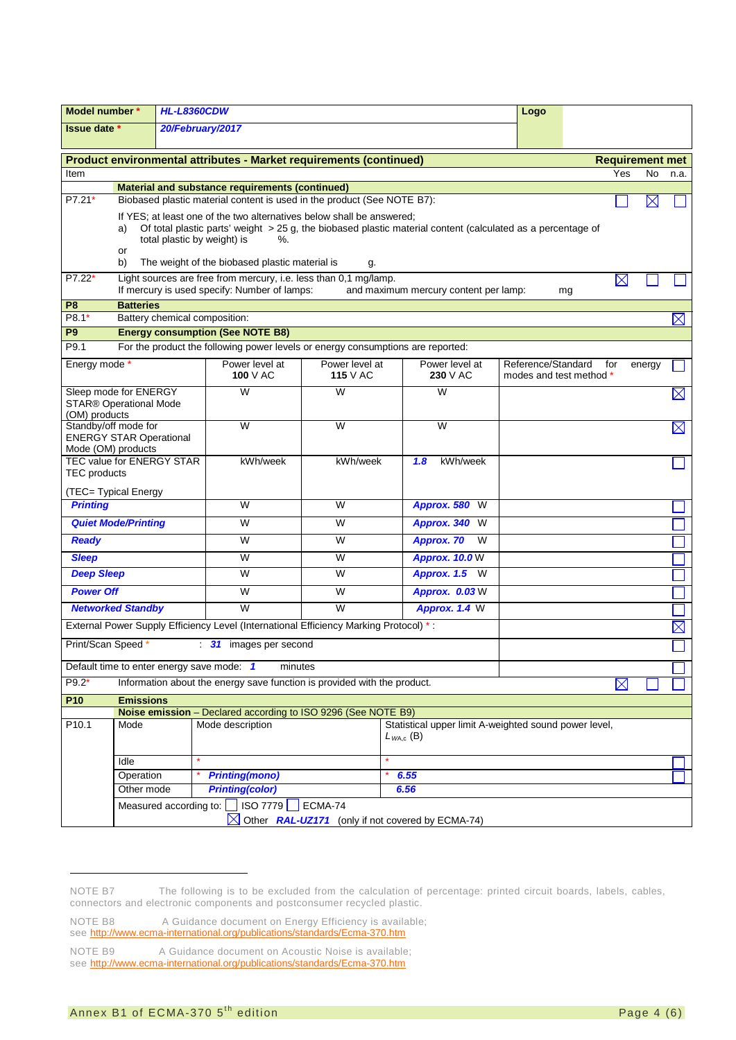|                                                                    | Model number *<br><b>HL-L8360CDW</b>                                                                                                                                                       |                               | Logo                                                                                  |                 |                                                  |                         |    |             |                        |             |
|--------------------------------------------------------------------|--------------------------------------------------------------------------------------------------------------------------------------------------------------------------------------------|-------------------------------|---------------------------------------------------------------------------------------|-----------------|--------------------------------------------------|-------------------------|----|-------------|------------------------|-------------|
| 20/February/2017<br><b>Issue date *</b>                            |                                                                                                                                                                                            |                               |                                                                                       |                 |                                                  |                         |    |             |                        |             |
|                                                                    |                                                                                                                                                                                            |                               |                                                                                       |                 |                                                  |                         |    |             |                        |             |
| Product environmental attributes - Market requirements (continued) |                                                                                                                                                                                            |                               |                                                                                       |                 |                                                  |                         |    |             | <b>Requirement met</b> |             |
| Item                                                               |                                                                                                                                                                                            |                               |                                                                                       |                 |                                                  |                         |    | Yes         | <b>No</b>              | n.a.        |
| P7.21*                                                             | <b>Material and substance requirements (continued)</b><br>Biobased plastic material content is used in the product (See NOTE B7):<br>$\times$                                              |                               |                                                                                       |                 |                                                  |                         |    |             |                        |             |
|                                                                    |                                                                                                                                                                                            |                               |                                                                                       |                 |                                                  |                         |    |             |                        |             |
|                                                                    | If YES; at least one of the two alternatives below shall be answered;<br>Of total plastic parts' weight > 25 g, the biobased plastic material content (calculated as a percentage of<br>a) |                               |                                                                                       |                 |                                                  |                         |    |             |                        |             |
|                                                                    | total plastic by weight) is<br>%.                                                                                                                                                          |                               |                                                                                       |                 |                                                  |                         |    |             |                        |             |
|                                                                    | or<br>The weight of the biobased plastic material is<br>b)<br>g.                                                                                                                           |                               |                                                                                       |                 |                                                  |                         |    |             |                        |             |
| $P7.22*$                                                           |                                                                                                                                                                                            |                               | Light sources are free from mercury, i.e. less than 0,1 mg/lamp.                      |                 |                                                  |                         |    | $\boxtimes$ |                        |             |
|                                                                    |                                                                                                                                                                                            |                               | If mercury is used specify: Number of lamps:                                          |                 | and maximum mercury content per lamp:            |                         | mg |             |                        |             |
| P <sub>8</sub><br>P8.1*                                            | <b>Batteries</b>                                                                                                                                                                           | Battery chemical composition: |                                                                                       |                 |                                                  |                         |    |             |                        |             |
| P <sub>9</sub>                                                     |                                                                                                                                                                                            |                               | <b>Energy consumption (See NOTE B8)</b>                                               |                 |                                                  |                         |    |             |                        | $\boxtimes$ |
| P9.1                                                               |                                                                                                                                                                                            |                               | For the product the following power levels or energy consumptions are reported:       |                 |                                                  |                         |    |             |                        |             |
| Energy mode                                                        |                                                                                                                                                                                            |                               | Power level at                                                                        | Power level at  | Power level at                                   | Reference/Standard      |    | for         |                        |             |
|                                                                    |                                                                                                                                                                                            |                               | 100 $V$ AC                                                                            | <b>115</b> V AC | 230 V AC                                         | modes and test method * |    |             | energy                 |             |
| Sleep mode for ENERGY                                              |                                                                                                                                                                                            |                               | W                                                                                     | W               | W                                                |                         |    |             |                        | $\boxtimes$ |
| <b>STAR® Operational Mode</b>                                      |                                                                                                                                                                                            |                               |                                                                                       |                 |                                                  |                         |    |             |                        |             |
| (OM) products<br>Standby/off mode for                              |                                                                                                                                                                                            |                               | W                                                                                     | W               | W                                                |                         |    |             |                        | $\boxtimes$ |
| <b>ENERGY STAR Operational</b>                                     |                                                                                                                                                                                            |                               |                                                                                       |                 |                                                  |                         |    |             |                        |             |
| Mode (OM) products                                                 |                                                                                                                                                                                            |                               |                                                                                       |                 |                                                  |                         |    |             |                        |             |
| TEC value for ENERGY STAR<br><b>TEC</b> products                   |                                                                                                                                                                                            | kWh/week                      | kWh/week                                                                              | 1.8<br>kWh/week |                                                  |                         |    |             |                        |             |
|                                                                    |                                                                                                                                                                                            |                               |                                                                                       |                 |                                                  |                         |    |             |                        |             |
| (TEC= Typical Energy<br><b>Printing</b>                            |                                                                                                                                                                                            |                               | W                                                                                     | W               | Approx. 580 W                                    |                         |    |             |                        |             |
|                                                                    | <b>Quiet Mode/Printing</b>                                                                                                                                                                 |                               | W                                                                                     | W               | Approx. 340 W                                    |                         |    |             |                        |             |
| <b>Ready</b>                                                       |                                                                                                                                                                                            |                               | W                                                                                     | W               | Approx. 70<br>W                                  |                         |    |             |                        |             |
|                                                                    |                                                                                                                                                                                            |                               | W                                                                                     | W               |                                                  |                         |    |             |                        |             |
| <b>Sleep</b>                                                       |                                                                                                                                                                                            |                               | W                                                                                     | W               | <b>Approx. 10.0 W</b>                            |                         |    |             |                        |             |
| <b>Deep Sleep</b>                                                  |                                                                                                                                                                                            |                               |                                                                                       |                 | Approx. 1.5 W                                    |                         |    |             |                        |             |
| <b>Power Off</b>                                                   |                                                                                                                                                                                            |                               | W                                                                                     | W               | Approx. 0.03 W                                   |                         |    |             |                        |             |
|                                                                    | <b>Networked Standby</b>                                                                                                                                                                   |                               | $\overline{W}$                                                                        | W               | Approx. 1.4 W                                    |                         |    |             |                        |             |
|                                                                    |                                                                                                                                                                                            |                               | External Power Supply Efficiency Level (International Efficiency Marking Protocol) *: |                 |                                                  |                         |    |             |                        | $\boxtimes$ |
| Print/Scan Speed *                                                 |                                                                                                                                                                                            |                               | 31 images per second                                                                  |                 |                                                  |                         |    |             |                        |             |
|                                                                    |                                                                                                                                                                                            |                               | Default time to enter energy save mode: 1<br>minutes                                  |                 |                                                  |                         |    |             |                        |             |
| P9.2*                                                              | Information about the energy save function is provided with the product.<br>$\boxtimes$                                                                                                    |                               |                                                                                       |                 |                                                  |                         |    |             |                        |             |
| P <sub>10</sub>                                                    | <b>Emissions</b>                                                                                                                                                                           |                               |                                                                                       |                 |                                                  |                         |    |             |                        |             |
|                                                                    | Noise emission - Declared according to ISO 9296 (See NOTE B9)<br>Statistical upper limit A-weighted sound power level,                                                                     |                               |                                                                                       |                 |                                                  |                         |    |             |                        |             |
| P10.1                                                              | Mode description<br>Mode<br>$L_{WA,c}$ (B)                                                                                                                                                 |                               |                                                                                       |                 |                                                  |                         |    |             |                        |             |
|                                                                    | Idle                                                                                                                                                                                       |                               |                                                                                       |                 |                                                  |                         |    |             |                        |             |
| Operation                                                          |                                                                                                                                                                                            | <b>Printing(mono)</b>         |                                                                                       | 6.55            |                                                  |                         |    |             |                        |             |
| <b>Printing(color)</b><br>Other mode                               |                                                                                                                                                                                            |                               |                                                                                       | 6.56            |                                                  |                         |    |             |                        |             |
|                                                                    |                                                                                                                                                                                            |                               | Measured according to:   ISO 7779   ECMA-74                                           |                 |                                                  |                         |    |             |                        |             |
|                                                                    |                                                                                                                                                                                            |                               | $\bowtie$                                                                             |                 | Other RAL-UZ171 (only if not covered by ECMA-74) |                         |    |             |                        |             |

<span id="page-3-0"></span>NOTE B7 The following is to be excluded from the calculation of percentage: printed circuit boards, labels, cables, connectors and electronic components and postconsumer recycled plastic.

<span id="page-3-1"></span>NOTE B8 A Guidance document on Energy Efficiency is available; see<http://www.ecma-international.org/publications/standards/Ecma-370.htm>

<span id="page-3-2"></span>NOTE B9 A Guidance document on Acoustic Noise is available; see<http://www.ecma-international.org/publications/standards/Ecma-370.htm>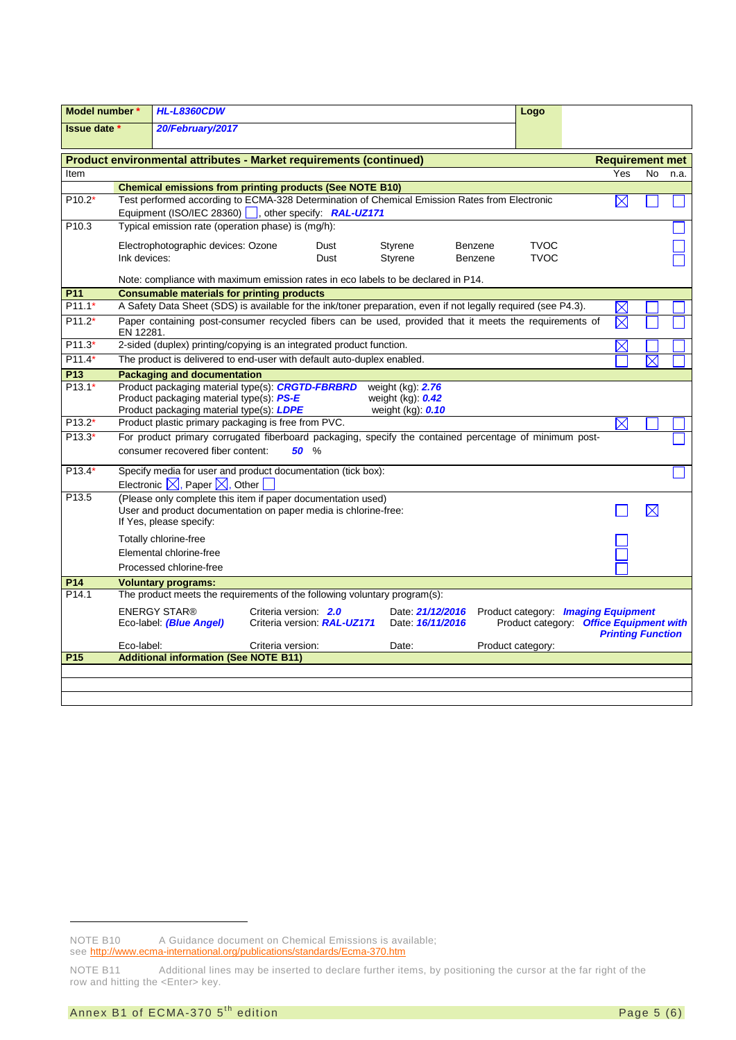| Model number *           |                                                                                                                                                                                                                                                                     | <b>HL-L8360CDW</b>                                                                                             |                   |      |                   |         | Logo              |                        |             |      |
|--------------------------|---------------------------------------------------------------------------------------------------------------------------------------------------------------------------------------------------------------------------------------------------------------------|----------------------------------------------------------------------------------------------------------------|-------------------|------|-------------------|---------|-------------------|------------------------|-------------|------|
| Issue date *             |                                                                                                                                                                                                                                                                     | 20/February/2017                                                                                               |                   |      |                   |         |                   |                        |             |      |
|                          |                                                                                                                                                                                                                                                                     |                                                                                                                |                   |      |                   |         |                   |                        |             |      |
|                          |                                                                                                                                                                                                                                                                     | Product environmental attributes - Market requirements (continued)                                             |                   |      |                   |         |                   | <b>Requirement met</b> |             |      |
| Item                     |                                                                                                                                                                                                                                                                     |                                                                                                                |                   |      |                   |         |                   | Yes                    | No          | n.a. |
|                          |                                                                                                                                                                                                                                                                     | <b>Chemical emissions from printing products (See NOTE B10)</b>                                                |                   |      |                   |         |                   |                        |             |      |
| P10.2*                   |                                                                                                                                                                                                                                                                     | Test performed according to ECMA-328 Determination of Chemical Emission Rates from Electronic                  |                   |      |                   |         |                   | $\boxtimes$            |             |      |
| P <sub>10.3</sub>        | Equipment (ISO/IEC 28360)  , other specify: RAL-UZ171<br>Typical emission rate (operation phase) is (mg/h):                                                                                                                                                         |                                                                                                                |                   |      |                   |         |                   |                        |             |      |
|                          |                                                                                                                                                                                                                                                                     |                                                                                                                |                   |      |                   |         |                   |                        |             |      |
|                          |                                                                                                                                                                                                                                                                     | Electrophotographic devices: Ozone                                                                             |                   | Dust | Styrene           | Benzene | <b>TVOC</b>       |                        |             |      |
|                          | Ink devices:                                                                                                                                                                                                                                                        |                                                                                                                |                   | Dust | Styrene           | Benzene | <b>TVOC</b>       |                        |             |      |
|                          |                                                                                                                                                                                                                                                                     | Note: compliance with maximum emission rates in eco labels to be declared in P14.                              |                   |      |                   |         |                   |                        |             |      |
| P11                      |                                                                                                                                                                                                                                                                     | <b>Consumable materials for printing products</b>                                                              |                   |      |                   |         |                   |                        |             |      |
| $P11.1*$                 |                                                                                                                                                                                                                                                                     | A Safety Data Sheet (SDS) is available for the ink/toner preparation, even if not legally required (see P4.3). |                   |      |                   |         |                   | $\times$               |             |      |
| $P11.2*$                 | EN 12281.                                                                                                                                                                                                                                                           | Paper containing post-consumer recycled fibers can be used, provided that it meets the requirements of         |                   |      |                   |         |                   | $\boxtimes$            |             |      |
| $P11.3*$                 | 2-sided (duplex) printing/copying is an integrated product function.<br>$\boxtimes$                                                                                                                                                                                 |                                                                                                                |                   |      |                   |         |                   |                        |             |      |
| $P11.4*$                 | The product is delivered to end-user with default auto-duplex enabled.<br>$\boxtimes$                                                                                                                                                                               |                                                                                                                |                   |      |                   |         |                   |                        |             |      |
| <b>P13</b>               | <b>Packaging and documentation</b>                                                                                                                                                                                                                                  |                                                                                                                |                   |      |                   |         |                   |                        |             |      |
| $P13.1*$                 | Product packaging material type(s): CRGTD-FBRBRD<br>weight $(kg)$ : 2.76                                                                                                                                                                                            |                                                                                                                |                   |      |                   |         |                   |                        |             |      |
|                          | Product packaging material type(s): PS-E<br>weight $(kg)$ : $0.42$<br>Product packaging material type(s): LDPE                                                                                                                                                      |                                                                                                                |                   |      |                   |         |                   |                        |             |      |
| $P13.2*$                 |                                                                                                                                                                                                                                                                     | Product plastic primary packaging is free from PVC.                                                            |                   |      | weight (kg): 0.10 |         |                   | $\boxtimes$            |             |      |
| $P13.3*$                 |                                                                                                                                                                                                                                                                     |                                                                                                                |                   |      |                   |         |                   |                        |             |      |
|                          | For product primary corrugated fiberboard packaging, specify the contained percentage of minimum post-<br>consumer recovered fiber content:<br>50 %                                                                                                                 |                                                                                                                |                   |      |                   |         |                   |                        |             |      |
| P13.4*                   | Specify media for user and product documentation (tick box):                                                                                                                                                                                                        |                                                                                                                |                   |      |                   |         |                   |                        |             |      |
|                          |                                                                                                                                                                                                                                                                     | Electronic $\boxtimes$ , Paper $\boxtimes$ , Other                                                             |                   |      |                   |         |                   |                        |             |      |
| P13.5                    |                                                                                                                                                                                                                                                                     | (Please only complete this item if paper documentation used)                                                   |                   |      |                   |         |                   |                        |             |      |
|                          |                                                                                                                                                                                                                                                                     | User and product documentation on paper media is chlorine-free:<br>If Yes, please specify:                     |                   |      |                   |         |                   |                        | $\boxtimes$ |      |
|                          |                                                                                                                                                                                                                                                                     |                                                                                                                |                   |      |                   |         |                   |                        |             |      |
|                          | Totally chlorine-free                                                                                                                                                                                                                                               |                                                                                                                |                   |      |                   |         |                   |                        |             |      |
|                          | Elemental chlorine-free                                                                                                                                                                                                                                             |                                                                                                                |                   |      |                   |         |                   |                        |             |      |
|                          |                                                                                                                                                                                                                                                                     | Processed chlorine-free                                                                                        |                   |      |                   |         |                   |                        |             |      |
| P14<br>P <sub>14.1</sub> |                                                                                                                                                                                                                                                                     | <b>Voluntary programs:</b><br>The product meets the requirements of the following voluntary program(s):        |                   |      |                   |         |                   |                        |             |      |
|                          |                                                                                                                                                                                                                                                                     |                                                                                                                |                   |      |                   |         |                   |                        |             |      |
|                          | <b>ENERGY STAR®</b><br>Criteria version: 2.0<br>Date: 21/12/2016<br>Product category: <b>Imaging Equipment</b><br>Product category: Office Equipment with<br>Criteria version. RAL-UZ171<br>Eco-label: (Blue Angel)<br>Date: 16/11/2016<br><b>Printing Function</b> |                                                                                                                |                   |      |                   |         |                   |                        |             |      |
|                          | Eco-label:                                                                                                                                                                                                                                                          |                                                                                                                | Criteria version: |      | Date:             |         | Product category: |                        |             |      |
| P <sub>15</sub>          |                                                                                                                                                                                                                                                                     | <b>Additional information (See NOTE B11)</b>                                                                   |                   |      |                   |         |                   |                        |             |      |
|                          |                                                                                                                                                                                                                                                                     |                                                                                                                |                   |      |                   |         |                   |                        |             |      |
|                          |                                                                                                                                                                                                                                                                     |                                                                                                                |                   |      |                   |         |                   |                        |             |      |
|                          |                                                                                                                                                                                                                                                                     |                                                                                                                |                   |      |                   |         |                   |                        |             |      |

<span id="page-4-0"></span>NOTE B10 A Guidance document on Chemical Emissions is available;

see<http://www.ecma-international.org/publications/standards/Ecma-370.htm>

<span id="page-4-1"></span>NOTE B11 Additional lines may be inserted to declare further items, by positioning the cursor at the far right of the row and hitting the <Enter> key.